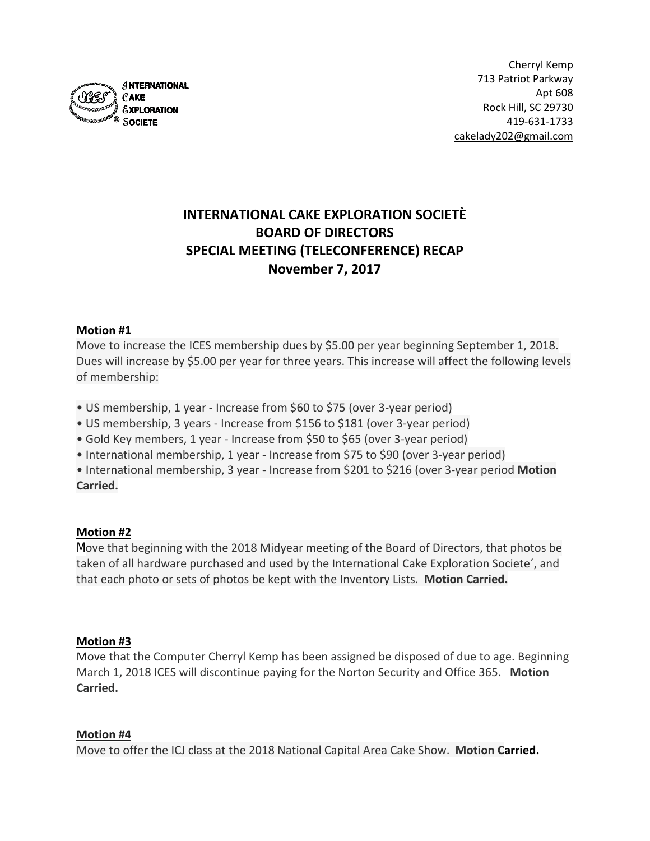

# **INTERNATIONAL CAKE EXPLORATION SOCIETÈ BOARD OF DIRECTORS SPECIAL MEETING (TELECONFERENCE) RECAP November 7, 2017**

# **Motion #1**

Move to increase the ICES membership dues by \$5.00 per year beginning September 1, 2018. Dues will increase by \$5.00 per year for three years. This increase will affect the following levels of membership:

- US membership, 1 year Increase from \$60 to \$75 (over 3-year period)
- US membership, 3 years Increase from \$156 to \$181 (over 3-year period)
- Gold Key members, 1 year Increase from \$50 to \$65 (over 3-year period)
- International membership, 1 year Increase from \$75 to \$90 (over 3-year period)

• International membership, 3 year - Increase from \$201 to \$216 (over 3-year period **Motion Carried.**

# **Motion #2**

Move that beginning with the 2018 Midyear meeting of the Board of Directors, that photos be taken of all hardware purchased and used by the International Cake Exploration Societe´, and that each photo or sets of photos be kept with the Inventory Lists. **Motion Carried.**

# **Motion #3**

Move that the Computer Cherryl Kemp has been assigned be disposed of due to age. Beginning March 1, 2018 ICES will discontinue paying for the Norton Security and Office 365. **Motion Carried.**

# **Motion #4**

Move to offer the ICJ class at the 2018 National Capital Area Cake Show. **Motion Carried.**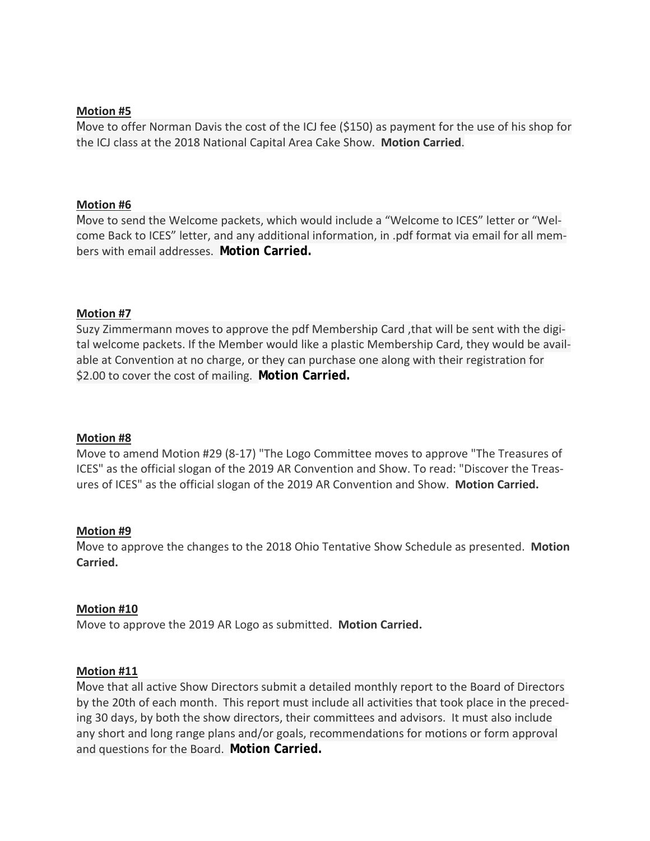# **Motion #5**

Move to offer Norman Davis the cost of the ICJ fee (\$150) as payment for the use of his shop for the ICJ class at the 2018 National Capital Area Cake Show. **Motion Carried**.

## **Motion #6**

Move to send the Welcome packets, which would include a "Welcome to ICES" letter or "Welcome Back to ICES" letter, and any additional information, in .pdf format via email for all members with email addresses. **Motion Carried.**

## **Motion #7**

Suzy Zimmermann moves to approve the pdf Membership Card ,that will be sent with the digital welcome packets. If the Member would like a plastic Membership Card, they would be available at Convention at no charge, or they can purchase one along with their registration for \$2.00 to cover the cost of mailing. **Motion Carried.**

## **Motion #8**

Move to amend Motion #29 (8-17) "The Logo Committee moves to approve "The Treasures of ICES" as the official slogan of the 2019 AR Convention and Show. To read: "Discover the Treasures of ICES" as the official slogan of the 2019 AR Convention and Show. **Motion Carried.**

## **Motion #9**

Move to approve the changes to the 2018 Ohio Tentative Show Schedule as presented. **Motion Carried.**

## **Motion #10**

Move to approve the 2019 AR Logo as submitted. **Motion Carried.**

## **Motion #11**

Move that all active Show Directors submit a detailed monthly report to the Board of Directors by the 20th of each month. This report must include all activities that took place in the preceding 30 days, by both the show directors, their committees and advisors. It must also include any short and long range plans and/or goals, recommendations for motions or form approval and questions for the Board. **Motion Carried.**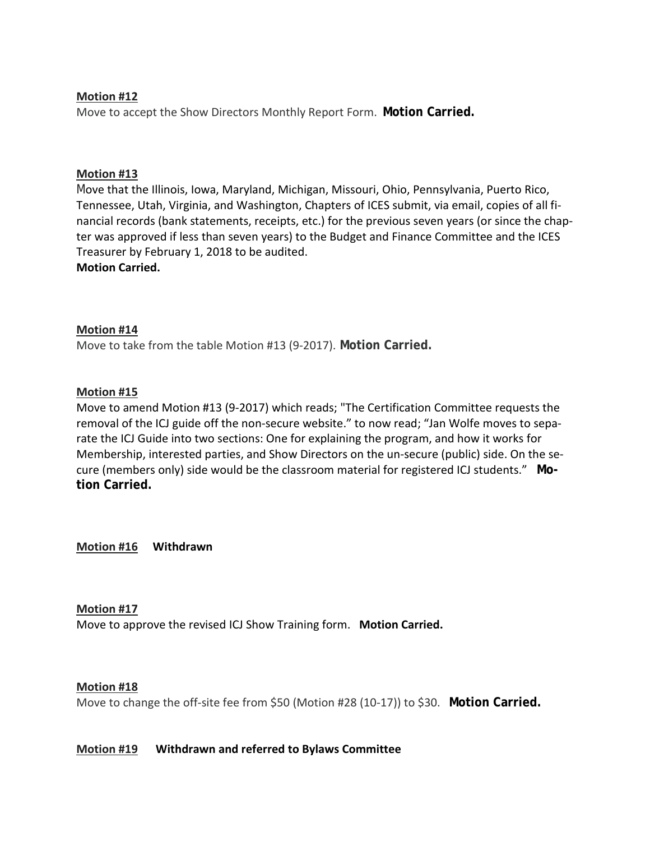# **Motion #12**

Move to accept the Show Directors Monthly Report Form. **Motion Carried.**

# **Motion #13**

Move that the Illinois, Iowa, Maryland, Michigan, Missouri, Ohio, Pennsylvania, Puerto Rico, Tennessee, Utah, Virginia, and Washington, Chapters of ICES submit, via email, copies of all financial records (bank statements, receipts, etc.) for the previous seven years (or since the chapter was approved if less than seven years) to the Budget and Finance Committee and the ICES Treasurer by February 1, 2018 to be audited. **Motion Carried.**

# **Motion #14**

Move to take from the table Motion #13 (9-2017). **Motion Carried.**

# **Motion #15**

Move to amend Motion #13 (9-2017) which reads; "The Certification Committee requests the removal of the ICJ guide off the non-secure website." to now read; "Jan Wolfe moves to separate the ICJ Guide into two sections: One for explaining the program, and how it works for Membership, interested parties, and Show Directors on the un-secure (public) side. On the secure (members only) side would be the classroom material for registered ICJ students." **Motion Carried.**

**Motion #16 Withdrawn**

# **Motion #17**

Move to approve the revised ICJ Show Training form. **Motion Carried.**

# **Motion #18**

Move to change the off-site fee from \$50 (Motion #28 (10-17)) to \$30. **Motion Carried.**

# **Motion #19 Withdrawn and referred to Bylaws Committee**